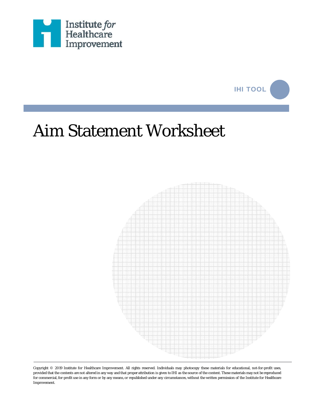



## Aim Statement Worksheet



Copyright © 2019 Institute for Healthcare Improvement. All rights reserved. Individuals may photocopy these materials for educational, not-for-profit uses, provided that the contents are not altered in any way and that proper attribution is given to IHI as the source of the content. These materials may not be reproduced for commercial,for-profit use in any form or by any means, or republished under any circumstances, without the written permission of the Institute for Healthcare Improvement.